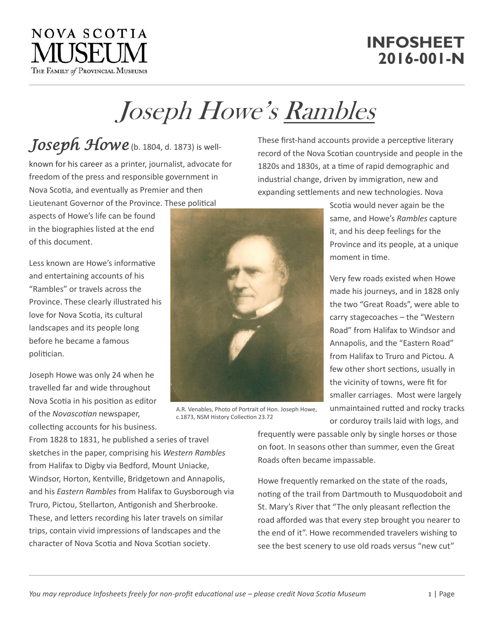## Joseph Howe's Rambles

## *Joseph Howe* (b. 1804, d. 1873) is well-

known for his career as a printer, journalist, advocate for freedom of the press and responsible government in Nova Scotia, and eventually as Premier and then Lieutenant Governor of the Province. These political

aspects of Howe's life can be found in the biographies listed at the end of this document.

Less known are Howe's informative and entertaining accounts of his "Rambles" or travels across the Province. These clearly illustrated his love for Nova Scotia, its cultural landscapes and its people long before he became a famous politician.

Joseph Howe was only 24 when he travelled far and wide throughout Nova Scotia in his position as editor of the *Novascotian* newspaper, collecting accounts for his business. record of the Nova Scotian countryside and people in the 1820s and 1830s, at a time of rapid demographic and industrial change, driven by immigration, new and expanding settlements and new technologies. Nova Scotia would never again be the

These first-hand accounts provide a perceptive literary

same, and Howe's *Rambles* capture it, and his deep feelings for the Province and its people, at a unique moment in time.

Very few roads existed when Howe made his journeys, and in 1828 only the two "Great Roads", were able to carry stagecoaches – the "Western Road" from Halifax to Windsor and Annapolis, and the "Eastern Road" from Halifax to Truro and Pictou. A few other short sections, usually in the vicinity of towns, were fit for smaller carriages. Most were largely unmaintained rutted and rocky tracks or corduroy trails laid with logs, and

From 1828 to 1831, he published a series of travel sketches in the paper, comprising his *Western Rambles* from Halifax to Digby via Bedford, Mount Uniacke, Windsor, Horton, Kentville, Bridgetown and Annapolis, and his *Eastern Rambles* from Halifax to Guysborough via Truro, Pictou, Stellarton, Antigonish and Sherbrooke. These, and letters recording his later travels on similar trips, contain vivid impressions of landscapes and the character of Nova Scotia and Nova Scotian society.

frequently were passable only by single horses or those on foot. In seasons other than summer, even the Great Roads often became impassable.

Howe frequently remarked on the state of the roads, noting of the trail from Dartmouth to Musquodoboit and St. Mary's River that "The only pleasant reflection the road afforded was that every step brought you nearer to the end of it". Howe recommended travelers wishing to see the best scenery to use old roads versus "new cut"



c.1873, NSM History Collection 23.72



## **INFOSHEET 2016-001-N**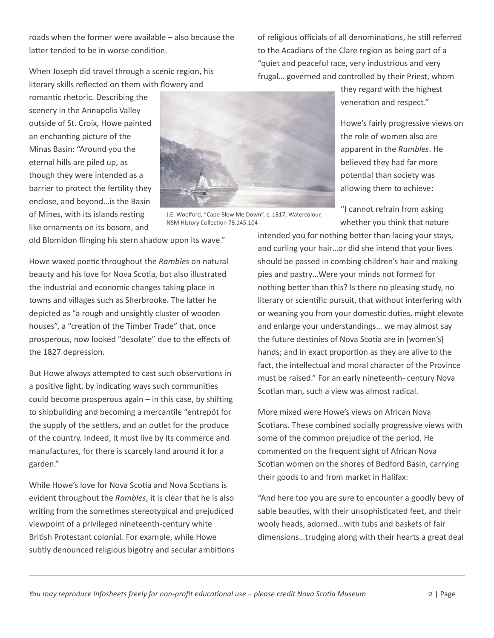*You may reproduce Infosheets freely for non-profit educational use – please credit Nova Scotia Museum* 2 | Page

roads when the former were available – also because the latter tended to be in worse condition.

When Joseph did travel through a scenic region, his literary skills reflected on them with flowery and

romantic rhetoric. Describing the scenery in the Annapolis Valley outside of St. Croix, Howe painted an enchanting picture of the Minas Basin: "Around you the eternal hills are piled up, as though they were intended as a barrier to protect the fertility they enclose, and beyond…is the Basin of Mines, with its islands resting like ornaments on its bosom, and

old Blomidon flinging his stern shadow upon its wave." NSM History Collection 78.145.104

J.E. Woolford, "Cape Blow Me Down", c. 1817, Watercolour,

Howe waxed poetic throughout the *Rambles* on natural beauty and his love for Nova Scotia, but also illustrated the industrial and economic changes taking place in towns and villages such as Sherbrooke. The latter he depicted as "a rough and unsightly cluster of wooden houses", a "creation of the Timber Trade" that, once prosperous, now looked "desolate" due to the effects of the 1827 depression.

But Howe always attempted to cast such observations in a positive light, by indicating ways such communities could become prosperous again – in this case, by shifting to shipbuilding and becoming a mercantile "entrepôt for the supply of the settlers, and an outlet for the produce of the country. Indeed, it must live by its commerce and manufactures, for there is scarcely land around it for a garden."

While Howe's love for Nova Scotia and Nova Scotians is evident throughout the *Rambles*, it is clear that he is also writing from the sometimes stereotypical and prejudiced viewpoint of a privileged nineteenth-century white British Protestant colonial. For example, while Howe subtly denounced religious bigotry and secular ambitions they regard with the highest veneration and respect."

of religious officials of all denominations, he still referred to the Acadians of the Clare region as being part of a "quiet and peaceful race, very industrious and very frugal… governed and controlled by their Priest, whom

> Howe's fairly progressive views on the role of women also are apparent in the *Rambles*. He believed they had far more potential than society was allowing them to achieve:

"I cannot refrain from asking whether you think that nature

intended you for nothing better than lacing your stays, and curling your hair…or did she intend that your lives should be passed in combing children's hair and making pies and pastry…Were your minds not formed for nothing better than this? Is there no pleasing study, no literary or scientific pursuit, that without interfering with or weaning you from your domestic duties, might elevate and enlarge your understandings… we may almost say the future destinies of Nova Scotia are in [women's] hands; and in exact proportion as they are alive to the fact, the intellectual and moral character of the Province must be raised." For an early nineteenth- century Nova Scotian man, such a view was almost radical.

More mixed were Howe's views on African Nova Scotians. These combined socially progressive views with some of the common prejudice of the period. He commented on the frequent sight of African Nova Scotian women on the shores of Bedford Basin, carrying their goods to and from market in Halifax:

"And here too you are sure to encounter a goodly bevy of sable beauties, with their unsophisticated feet, and their wooly heads, adorned…with tubs and baskets of fair dimensions…trudging along with their hearts a great deal

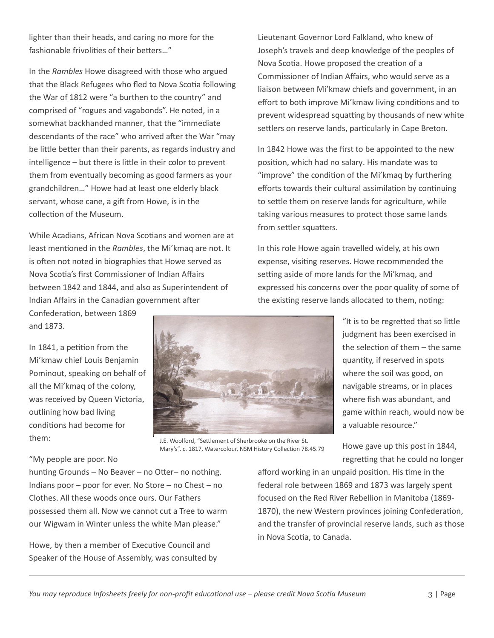intelligence – but there is little in their color to prevent them from eventually becoming as good farmers as your

lighter than their heads, and caring no more for the

In the *Rambles* Howe disagreed with those who argued that the Black Refugees who fled to Nova Scotia following the War of 1812 were "a burthen to the country" and comprised of "rogues and vagabonds". He noted, in a somewhat backhanded manner, that the "immediate descendants of the race" who arrived after the War "may be little better than their parents, as regards industry and

fashionable frivolities of their betters…"

grandchildren…" Howe had at least one elderly black servant, whose cane, a gift from Howe, is in the collection of the Museum.

While Acadians, African Nova Scotians and women are at least mentioned in the *Rambles*, the Mi'kmaq are not. It is often not noted in biographies that Howe served as Nova Scotia's first Commissioner of Indian Affairs between 1842 and 1844, and also as Superintendent of Indian Affairs in the Canadian government after

Confederation, between 1869 and 1873.

In 1841, a petition from the Mi'kmaw chief Louis Benjamin Pominout, speaking on behalf of all the Mi'kmaq of the colony, was received by Queen Victoria, outlining how bad living conditions had become for them:

J.E. Woolford, "Settlement of Sherbrooke on the River St. Mary's", c. 1817, Watercolour, NSM History Collection 78.45.79

Lieutenant Governor Lord Falkland, who knew of Joseph's travels and deep knowledge of the peoples of Nova Scotia. Howe proposed the creation of a Commissioner of Indian Affairs, who would serve as a liaison between Mi'kmaw chiefs and government, in an effort to both improve Mi'kmaw living conditions and to prevent widespread squatting by thousands of new white settlers on reserve lands, particularly in Cape Breton.

In 1842 Howe was the first to be appointed to the new position, which had no salary. His mandate was to "improve" the condition of the Mi'kmaq by furthering efforts towards their cultural assimilation by continuing to settle them on reserve lands for agriculture, while taking various measures to protect those same lands from settler squatters.

In this role Howe again travelled widely, at his own expense, visiting reserves. Howe recommended the setting aside of more lands for the Mi'kmaq, and expressed his concerns over the poor quality of some of the existing reserve lands allocated to them, noting:

> "It is to be regretted that so little judgment has been exercised in the selection of them – the same quantity, if reserved in spots where the soil was good, on navigable streams, or in places where fish was abundant, and game within reach, would now be a valuable resource."

> Howe gave up this post in 1844, regretting that he could no longer

"My people are poor. No

hunting Grounds – No Beaver – no Otter– no nothing. Indians poor – poor for ever. No Store – no Chest – no Clothes. All these woods once ours. Our Fathers possessed them all. Now we cannot cut a Tree to warm our Wigwam in Winter unless the white Man please."

Howe, by then a member of Executive Council and Speaker of the House of Assembly, was consulted by

afford working in an unpaid position. His time in the federal role between 1869 and 1873 was largely spent focused on the Red River Rebellion in Manitoba (1869- 1870), the new Western provinces joining Confederation, and the transfer of provincial reserve lands, such as those in Nova Scotia, to Canada.